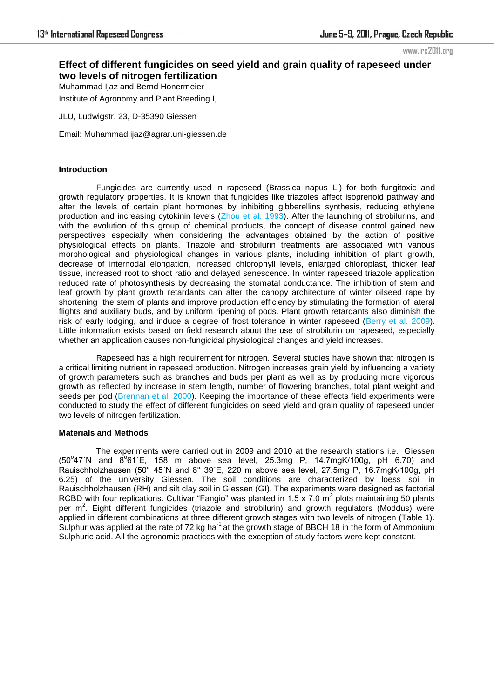# **Effect of different fungicides on seed yield and grain quality of rapeseed under two levels of nitrogen fertilization**

Muhammad Ijaz and Bernd Honermeier Institute of Agronomy and Plant Breeding I,

JLU, Ludwigstr. 23, D-35390 Giessen

Email: Muhammad.ijaz@agrar.uni-giessen.de

#### **Introduction**

Fungicides are currently used in rapeseed (Brassica napus L.) for both fungitoxic and growth regulatory properties. It is known that fungicides like triazoles affect isoprenoid pathway and alter the levels of certain plant hormones by inhibiting gibberellins synthesis, reducing ethylene production and increasing cytokinin levels (Zhou et al. 1993). After the launching of strobilurins, and with the evolution of this group of chemical products, the concept of disease control gained new perspectives especially when considering the advantages obtained by the action of positive physiological effects on plants. Triazole and strobilurin treatments are associated with various morphological and physiological changes in various plants, including inhibition of plant growth, decrease of internodal elongation, increased chlorophyll levels, enlarged chloroplast, thicker leaf tissue, increased root to shoot ratio and delayed senescence. In winter rapeseed triazole application reduced rate of photosynthesis by decreasing the stomatal conductance. The inhibition of stem and leaf growth by plant growth retardants can alter the canopy architecture of winter oilseed rape by shortening the stem of plants and improve production efficiency by stimulating the formation of lateral flights and auxiliary buds, and by uniform ripening of pods. Plant growth retardants also diminish the risk of early lodging, and induce a degree of frost tolerance in winter rapeseed (Berry et al. 2009). Little information exists based on field research about the use of strobilurin on rapeseed, especially whether an application causes non-fungicidal physiological changes and yield increases.

 Rapeseed has a high requirement for nitrogen. Several studies have shown that nitrogen is a critical limiting nutrient in rapeseed production. Nitrogen increases grain yield by influencing a variety of growth parameters such as branches and buds per plant as well as by producing more vigorous growth as reflected by increase in stem length, number of flowering branches, total plant weight and seeds per pod (Brennan et al. 2000). Keeping the importance of these effects field experiments were conducted to study the effect of different fungicides on seed yield and grain quality of rapeseed under two levels of nitrogen fertilization.

#### **Materials and Methods**

 The experiments were carried out in 2009 and 2010 at the research stations i.e. Giessen (50°47´N and  $8^{\circ}$ 61´E, 158 m above sea level, 25.3mg P, 14.7mgK/100g, pH 6.70) and Rauischholzhausen (50° 45´N and 8° 39´E, 220 m above sea level, 27.5mg P, 16.7mgK/100g, pH 6.25) of the university Giessen. The soil conditions are characterized by loess soil in Rauischholzhausen (RH) and silt clay soil in Giessen (GI). The experiments were designed as factorial RCBD with four replications. Cultivar "Fangio" was planted in 1.5 x 7.0 m<sup>2</sup> plots maintaining 50 plants per m<sup>2</sup>. Eight different fungicides (triazole and strobilurin) and growth regulators (Moddus) were applied in different combinations at three different growth stages with two levels of nitrogen (Table 1). Sulphur was applied at the rate of 72 kg ha<sup>-1</sup> at the growth stage of BBCH 18 in the form of Ammonium Sulphuric acid. All the agronomic practices with the exception of study factors were kept constant.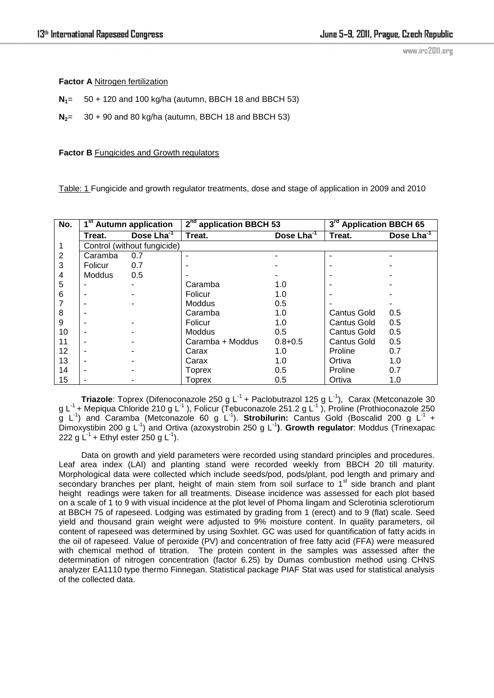## **Factor A** Nitrogen fertilization

**N1**= 50 + 120 and 100 kg/ha (autumn, BBCH 18 and BBCH 53)

**N2**= 30 + 90 and 80 kg/ha (autumn, BBCH 18 and BBCH 53)

#### **Factor B** Fungicides and Growth regulators

Table: 1 Fungicide and growth regulator treatments, dose and stage of application in 2009 and 2010

| No. |                             | 1 <sup>st</sup> Autumn application | $2nd$ application BBCH 53 |                        | $3rd$ Application BBCH 65 |                        |  |  |  |  |  |
|-----|-----------------------------|------------------------------------|---------------------------|------------------------|---------------------------|------------------------|--|--|--|--|--|
|     | Treat.                      | Dose Lha <sup>-1</sup>             | Treat.                    | Dose Lha <sup>-1</sup> | Treat.                    | Dose Lha <sup>-1</sup> |  |  |  |  |  |
| 1   | Control (without fungicide) |                                    |                           |                        |                           |                        |  |  |  |  |  |
| 2   | Caramba                     | 0.7                                |                           |                        |                           |                        |  |  |  |  |  |
| 3   | Folicur                     | 0.7                                |                           |                        |                           |                        |  |  |  |  |  |
| 4   | Moddus                      | 0.5                                |                           |                        |                           |                        |  |  |  |  |  |
| 5   |                             |                                    | Caramba                   | 1.0                    |                           |                        |  |  |  |  |  |
| 6   |                             |                                    | Folicur                   | 1.0                    |                           |                        |  |  |  |  |  |
| 7   |                             |                                    | <b>Moddus</b>             | 0.5                    |                           |                        |  |  |  |  |  |
| 8   |                             |                                    | Caramba                   | 1.0                    | Cantus Gold               | 0.5                    |  |  |  |  |  |
| 9   |                             |                                    | Folicur                   | 1.0                    | <b>Cantus Gold</b>        | 0.5                    |  |  |  |  |  |
| 10  |                             |                                    | Moddus                    | 0.5                    | <b>Cantus Gold</b>        | 0.5                    |  |  |  |  |  |
| 11  |                             |                                    | Caramba + Moddus          | $0.8 + 0.5$            | Cantus Gold               | 0.5                    |  |  |  |  |  |
| 12  |                             |                                    | Carax                     | 1.0                    | Proline                   | 0.7                    |  |  |  |  |  |
| 13  |                             |                                    | Carax                     | 1.0                    | Ortiva                    | 1.0                    |  |  |  |  |  |
| 14  |                             |                                    | Toprex                    | 0.5                    | Proline                   | 0.7                    |  |  |  |  |  |
| 15  |                             |                                    | Toprex                    | 0.5                    | Ortiva                    | 1.0                    |  |  |  |  |  |

**Triazole**: Toprex (Difenoconazole 250 g L<sup>-1</sup> + Paclobutrazol 125 g L<sup>-1</sup>), Carax (Metconazole 30 g L<sup>-1</sup> + Mepiqua Chloride 210 g L<sup>-1</sup>), Folicur (Tebuconazole 251.2 g L<sup>-1</sup>), Proline (Prothioconazole 250  $\bar{g}$  L<sup>-1</sup>) and Caramba (Metconazole 60 g L<sup>-1</sup>). **Strobilurin:** Cantus Gold (Boscalid 200 g L<sup>-1</sup> + Dimoxystibin 200 g L<sup>-1</sup>) and Ortiva (azoxystrobin 250 g L<sup>-1</sup>). Growth regulator: Moddus (Trinexapac 222 g L<sup>-1</sup> + Ethyl ester 250 g L<sup>-1</sup>).

Data on growth and yield parameters were recorded using standard principles and procedures. Leaf area index (LAI) and planting stand were recorded weekly from BBCH 20 till maturity. Morphological data were collected which include seeds/pod, pods/plant, pod length and primary and secondary branches per plant, height of main stem from soil surface to 1<sup>st</sup> side branch and plant height readings were taken for all treatments. Disease incidence was assessed for each plot based on a scale of 1 to 9 with visual incidence at the plot level of Phoma lingam and Sclerotinia sclerotiorum at BBCH 75 of rapeseed. Lodging was estimated by grading from 1 (erect) and to 9 (flat) scale. Seed yield and thousand grain weight were adjusted to 9% moisture content. In quality parameters, oil content of rapeseed was determined by using Soxhlet. GC was used for quantification of fatty acids in the oil of rapeseed. Value of peroxide (PV) and concentration of free fatty acid (FFA) were measured with chemical method of titration. The protein content in the samples was assessed after the determination of nitrogen concentration (factor 6.25) by Dumas combustion method using CHNS analyzer EA1110 type thermo Finnegan. Statistical package PIAF Stat was used for statistical analysis of the collected data.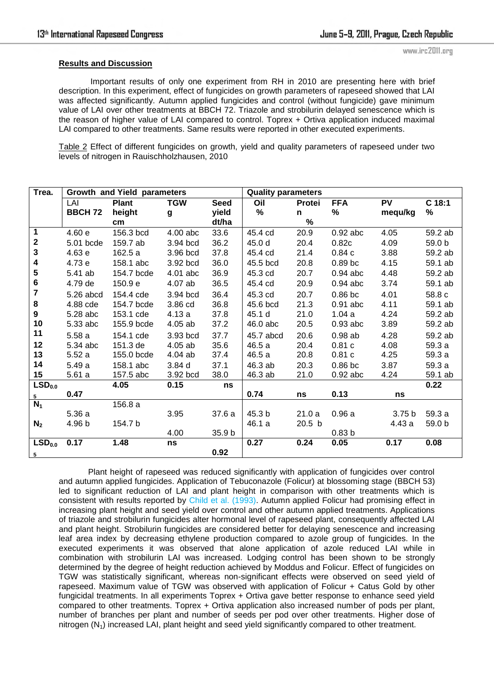## **Results and Discussion**

 Important results of only one experiment from RH in 2010 are presenting here with brief description. In this experiment, effect of fungicides on growth parameters of rapeseed showed that LAI was affected significantly. Autumn applied fungicides and control (without fungicide) gave minimum value of LAI over other treatments at BBCH 72. Triazole and strobilurin delayed senescence which is the reason of higher value of LAI compared to control. Toprex + Ortiva application induced maximal LAI compared to other treatments. Same results were reported in other executed experiments.

Table 2 Effect of different fungicides on growth, yield and quality parameters of rapeseed under two levels of nitrogen in Rauischholzhausen, 2010

| Trea.                         |                | Growth and Yield parameters |                   |             | <b>Quality parameters</b> |                   |                    |                   |          |
|-------------------------------|----------------|-----------------------------|-------------------|-------------|---------------------------|-------------------|--------------------|-------------------|----------|
|                               | LAI            | <b>Plant</b>                | <b>TGW</b>        | <b>Seed</b> | Oil                       | Protei            | <b>FFA</b>         | <b>PV</b>         | $C$ 18:1 |
|                               | <b>BBCH 72</b> | height                      | g                 | yield       | $\%$                      | n.                | %                  | mequ/kg           | %        |
|                               |                | cm                          |                   | dt/ha       |                           | $\%$              |                    |                   |          |
| 1                             | 4.60e          | 156.3 bcd                   | 4.00 abc          | 33.6        | 45.4 cd                   | 20.9              | $0.92$ abc         | 4.05              | 59.2 ab  |
| $\mathbf 2$                   | 5.01 bcde      | 159.7 ab                    | 3.94 bcd          | 36.2        | 45.0 d                    | 20.4              | 0.82c              | 4.09              | 59.0 b   |
| 3                             | 4.63 e         | 162.5 a                     | 3.96 bcd          | 37.8        | 45.4 cd                   | 21.4              | 0.84c              | 3.88              | 59.2 ab  |
| 4                             | 4.73 e         | 158.1 abc                   | 3.92 bcd          | 36.0        | 45.5 bcd                  | 20.8              | 0.89 <sub>bc</sub> | 4.15              | 59.1 ab  |
| 5                             | 5.41 ab        | 154.7 bcde                  | 4.01 abc          | 36.9        | 45.3 cd                   | 20.7              | $0.94$ abc         | 4.48              | 59.2 ab  |
| 6                             | 4.79 de        | 150.9 e                     | 4.07 ab           | 36.5        | 45.4 cd                   | 20.9              | $0.94$ abc         | 3.74              | 59.1 ab  |
| $\overline{\mathbf{r}}$       | 5.26 abcd      | 154.4 cde                   | 3.94 bcd          | 36.4        | 45.3 cd                   | 20.7              | 0.86 bc            | 4.01              | 58.8 c   |
| 8                             | 4.88 cde       | 154.7 bcde                  | 3.86 cd           | 36.8        | 45.6 bcd                  | 21.3              | $0.91$ abc         | 4.11              | 59.1 ab  |
| 9                             | 5.28 abc       | 153.1 cde                   | 4.13 a            | 37.8        | 45.1 d                    | 21.0              | 1.04a              | 4.24              | 59.2 ab  |
| 10                            | 5.33 abc       | 155.9 bcde                  | $4.05$ ab         | 37.2        | 46.0 abc                  | 20.5              | $0.93$ abc         | 3.89              | 59.2 ab  |
| 11                            | 5.58a          | 154.1 cde                   | 3.93 bcd          | 37.7        | 45.7 abcd                 | 20.6              | 0.98ab             | 4.28              | 59.2 ab  |
| 12                            | 5.34 abc       | 151.3 de                    | 4.05 ab           | 35.6        | 46.5 a                    | 20.4              | 0.81c              | 4.08              | 59.3 a   |
| 13                            | 5.52a          | 155.0 bcde                  | 4.04 ab           | 37.4        | 46.5 a                    | 20.8              | 0.81c              | 4.25              | 59.3 a   |
| 14                            | 5.49a          | 158.1 abc                   | 3.84 <sub>d</sub> | 37.1        | 46.3 ab                   | 20.3              | $0.86$ bc          | 3.87              | 59.3 a   |
| 15                            | 5.61a          | 157.5 abc                   | 3.92 bcd          | 38.0        | 46.3 ab                   | 21.0              | $0.92$ abc         | 4.24              | 59.1 ab  |
| $\overline{\text{LSD}}_{0.0}$ |                | 4.05                        | 0.15              | ns          |                           |                   |                    |                   | 0.22     |
| 5                             | 0.47           |                             |                   |             | 0.74                      | ns                | 0.13               | ns                |          |
| $\overline{N_1}$              |                | 156.8a                      |                   |             |                           |                   |                    |                   |          |
|                               | 5.36a          |                             | 3.95              | 37.6 a      | 45.3 b                    | 21.0a             | 0.96a              | 3.75 <sub>b</sub> | 59.3 a   |
| N <sub>2</sub>                | 4.96 b         | 154.7 b                     |                   |             | 46.1 a                    | 20.5 <sub>b</sub> |                    | 4.43 a            | 59.0 b   |
|                               |                |                             | 4.00              | 35.9 b      |                           |                   | 0.83 <sub>b</sub>  |                   |          |
| LSD <sub>0.0</sub>            | 0.17           | 1.48                        | ns                |             | 0.27                      | 0.24              | 0.05               | 0.17              | 0.08     |
| 5                             |                |                             |                   | 0.92        |                           |                   |                    |                   |          |

Plant height of rapeseed was reduced significantly with application of fungicides over control and autumn applied fungicides. Application of Tebuconazole (Folicur) at blossoming stage (BBCH 53) led to significant reduction of LAI and plant height in comparison with other treatments which is consistent with results reported by Child et al. (1993). Autumn applied Folicur had promising effect in increasing plant height and seed yield over control and other autumn applied treatments. Applications of triazole and strobilurin fungicides alter hormonal level of rapeseed plant, consequently affected LAI and plant height. Strobilurin fungicides are considered better for delaying senescence and increasing leaf area index by decreasing ethylene production compared to azole group of fungicides. In the executed experiments it was observed that alone application of azole reduced LAI while in combination with strobilurin LAI was increased. Lodging control has been shown to be strongly determined by the degree of height reduction achieved by Moddus and Folicur. Effect of fungicides on TGW was statistically significant, whereas non-significant effects were observed on seed yield of rapeseed. Maximum value of TGW was observed with application of Folicur + Catus Gold by other fungicidal treatments. In all experiments Toprex + Ortiva gave better response to enhance seed yield compared to other treatments. Toprex + Ortiva application also increased number of pods per plant, number of branches per plant and number of seeds per pod over other treatments. Higher dose of nitrogen (N1) increased LAI, plant height and seed yield significantly compared to other treatment.